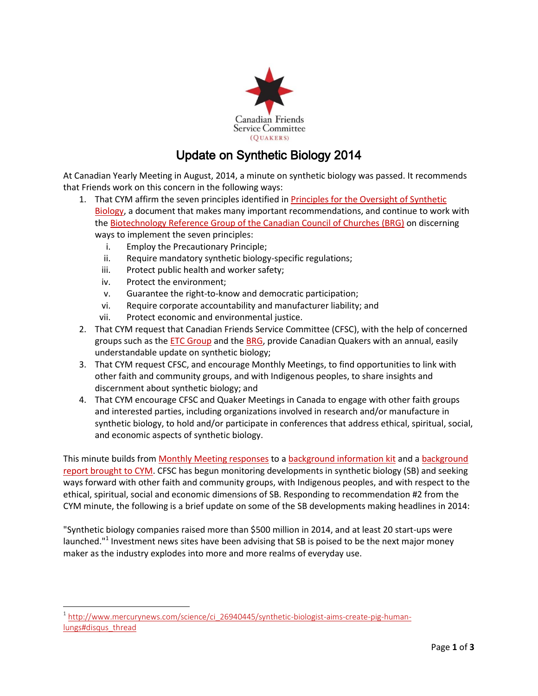

## Update on Synthetic Biology 2014

At Canadian Yearly Meeting in August, 2014, a minute on synthetic biology was passed. It recommends that Friends work on this concern in the following ways:

- 1. Tha[t CYM](http://www.quaker.ca/) affirm the seven principles identified in [Principles for the Oversight of Synthetic](http://www.synbiowatch.org/wp-content/uploads/2013/05/Principles-for-the-oversight-of-synthetic-biology-web-2.pdf)  [Biology,](http://www.synbiowatch.org/wp-content/uploads/2013/05/Principles-for-the-oversight-of-synthetic-biology-web-2.pdf) a document that makes many important recommendations, and continue to work with th[e Biotechnology Reference Group of the Canadian Council of Churches \(BRG\)](http://www.councilofchurches.ca/biotechnology/) on discerning ways to implement the seven principles:
	- i. Employ the Precautionary Principle;
	- ii. Require mandatory synthetic biology-specific regulations;
	- iii. Protect public health and worker safety;
	- iv. Protect the environment;

l

- v. Guarantee the right-to-know and democratic participation;
- vi. Require corporate accountability and manufacturer liability; and
- vii. Protect economic and environmental justice.
- 2. Tha[t CYM](http://www.quaker.ca/) request that Canadian Friends Service Committee (CFSC), with the help of concerned groups such as the **ETC Group** and the **BRG**, provide Canadian Quakers with an annual, easily understandable update on synthetic biology;
- 3. Tha[t CYM](http://www.quaker.ca/) request CFSC, and encourage Monthly Meetings, to find opportunities to link with other faith and community groups, and with Indigenous peoples, to share insights and discernment about synthetic biology; and
- 4. Tha[t CYM](http://www.quaker.ca/) encourage CFSC and Quaker Meetings in Canada to engage with other faith groups and interested parties, including organizations involved in research and/or manufacture in synthetic biology, to hold and/or participate in conferences that address ethical, spiritual, social, and economic aspects of synthetic biology.

This minute builds fro[m Monthly Meeting responses](http://quakerservice.ca/wp-content/uploads/2014/05/Excerpts-from-Meeting-study-groups-synthetic-biology.pdf) to a [background information kit](http://bit.ly/SynthBioKit) and a background [report brought to CYM.](http://quakerservice.ca/wp-content/uploads/2014/05/2014-Synthetic-biology-background-report.pdf) CFSC has begun monitoring developments in synthetic biology (SB) and seeking ways forward with other faith and community groups, with Indigenous peoples, and with respect to the ethical, spiritual, social and economic dimensions of SB. Responding to recommendation #2 from the CYM minute, the following is a brief update on some of the SB developments making headlines in 2014:

"Synthetic biology companies raised more than \$500 million in 2014, and at least 20 start-ups were launched."<sup>1</sup> Investment news sites have been advising that SB is poised to be the next major money maker as the industry explodes into more and more realms of everyday use.

<sup>&</sup>lt;sup>1</sup> [http://www.mercurynews.com/science/ci\\_26940445/synthetic-biologist-aims-create-pig-human](http://www.mercurynews.com/science/ci_26940445/synthetic-biologist-aims-create-pig-human-lungs%23disqus_thread)[lungs#disqus\\_thread](http://www.mercurynews.com/science/ci_26940445/synthetic-biologist-aims-create-pig-human-lungs%23disqus_thread)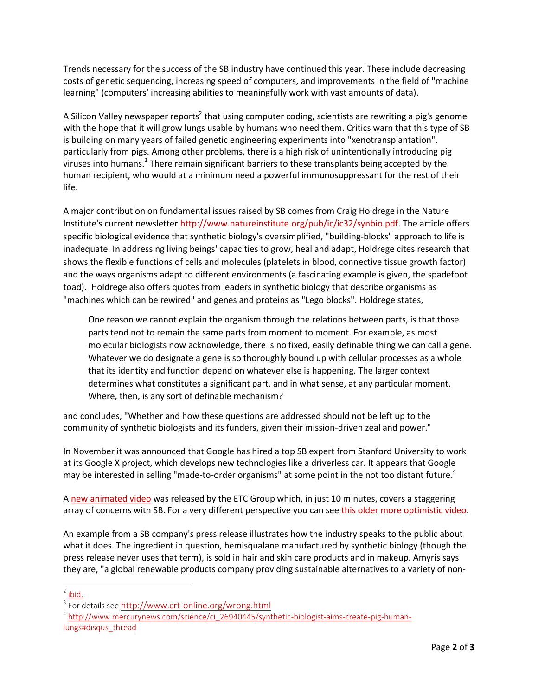Trends necessary for the success of the SB industry have continued this year. These include decreasing costs of genetic sequencing, increasing speed of computers, and improvements in the field of "machine learning" (computers' increasing abilities to meaningfully work with vast amounts of data).

A Silicon Valley newspaper reports<sup>2</sup> that using computer coding, scientists are rewriting a pig's genome with the hope that it will grow lungs usable by humans who need them. Critics warn that this type of SB is building on many years of failed genetic engineering experiments into "xenotransplantation", particularly from pigs. Among other problems, there is a high risk of unintentionally introducing pig viruses into humans.<sup>3</sup> There remain significant barriers to these transplants being accepted by the human recipient, who would at a minimum need a powerful immunosuppressant for the rest of their life.

A major contribution on fundamental issues raised by SB comes from Craig Holdrege in the Nature Institute's current newsletter [http://www.natureinstitute.org/pub/ic/ic32/synbio.pdf.](http://www.natureinstitute.org/pub/ic/ic32/synbio.pdf) The article offers specific biological evidence that synthetic biology's oversimplified, "building-blocks" approach to life is inadequate. In addressing living beings' capacities to grow, heal and adapt, Holdrege cites research that shows the flexible functions of cells and molecules (platelets in blood, connective tissue growth factor) and the ways organisms adapt to different environments (a fascinating example is given, the spadefoot toad). Holdrege also offers quotes from leaders in synthetic biology that describe organisms as "machines which can be rewired" and genes and proteins as "Lego blocks". Holdrege states,

One reason we cannot explain the organism through the relations between parts, is that those parts tend not to remain the same parts from moment to moment. For example, as most molecular biologists now acknowledge, there is no fixed, easily definable thing we can call a gene. Whatever we do designate a gene is so thoroughly bound up with cellular processes as a whole that its identity and function depend on whatever else is happening. The larger context determines what constitutes a significant part, and in what sense, at any particular moment. Where, then, is any sort of definable mechanism?

and concludes, "Whether and how these questions are addressed should not be left up to the community of synthetic biologists and its funders, given their mission-driven zeal and power."

In November it was announced that Google has hired a top SB expert from Stanford University to work at its Google X project, which develops new technologies like a driverless car. It appears that Google may be interested in selling "made-to-order organisms" at some point in the not too distant future.<sup>4</sup>

A [new animated video](https://www.youtube.com/watch?feature=player_embedded&v=C726wUGLdL4) was released by the ETC Group which, in just 10 minutes, covers a staggering array of concerns with SB. For a very different perspective you can see this older [more optimistic](https://www.youtube.com/watch?feature=player_embedded&v=rD5uNAMbDaQ) video.

An example from a SB company's press release illustrates how the industry speaks to the public about what it does. The ingredient in question, hemisqualane manufactured by synthetic biology (though the press release never uses that term), is sold in hair and skin care products and in makeup. Amyris says they are, "a global renewable products company providing sustainable alternatives to a variety of non-

 $\overline{\phantom{a}}$  $2$  [ibid.](http://www.mercurynews.com/science/ci_26940445/synthetic-biologist-aims-create-pig-human-lungs%23disqus_thread)

<sup>&</sup>lt;sup>3</sup> For details see <http://www.crt-online.org/wrong.html>

<sup>&</sup>lt;sup>4</sup> [http://www.mercurynews.com/science/ci\\_26940445/synthetic-biologist-aims-create-pig-human](http://www.mercurynews.com/science/ci_26940445/synthetic-biologist-aims-create-pig-human-lungs%23disqus_thread)[lungs#disqus\\_thread](http://www.mercurynews.com/science/ci_26940445/synthetic-biologist-aims-create-pig-human-lungs%23disqus_thread)